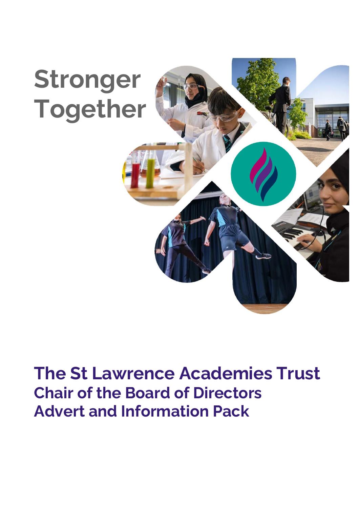

# **The St Lawrence Academies Trust Chair of the Board of Directors Advert and Information Pack**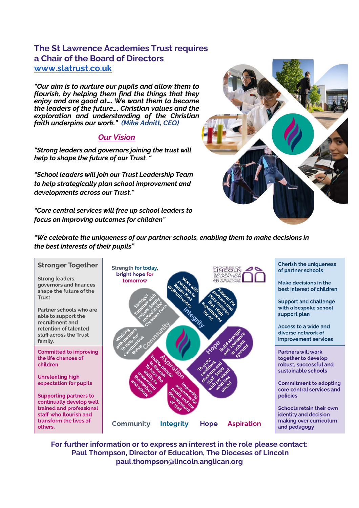# **The St Lawrence Academies Trust requires a Chair of the Board of Directors [www.slatrust.co.uk](http://www.slatrust.co.uk/)**

*"Our aim is to nurture our pupils and allow them to flourish, by helping them find the things that they enjoy and are good at…. We want them to become the leaders of the future…. Christian values and the exploration and understanding of the Christian faith underpins our work." (Mike Adnitt, CEO)*

# *Our Vision*

*"Strong leaders and governors joining the trust will help to shape the future of our Trust. "*

*"School leaders will join our Trust Leadership Team to help strategically plan school improvement and developments across our Trust."*

*"Core central services will free up school leaders to focus on improving outcomes for children"*



*"We celebrate the uniqueness of our partner schools, enabling them to make decisions in the best interests of their pupils"*

#### **Stronger Together**

Strong leaders, governors and finances shape the future of the Trust

Partner schools who are able to support the recruitment and retention of talented staff across the Trust family.

**Committed to improving** the life chances of children

**Unrelenting high** expectation for pupils

**Supporting partners to** continually develop well trained and professional staff, who flourish and transform the lives of others.



**Cherish the uniqueness** of partner schools

Make decisions in the best interest of children.

**Support and challenge** with a bespoke school support plan

**Access to a wide and** diverse network of improvement services

**Partners will work** together to develop robust, successful and sustainable schools

**Commitment to adopting** core central services and policies

**Schools retain their own** identity and decision making over curriculum and pedagogy

**For further information or to express an interest in the role please contact: Paul Thompson, Director of Education, The Dioceses of Lincoln paul.thompson@lincoln.anglican.org**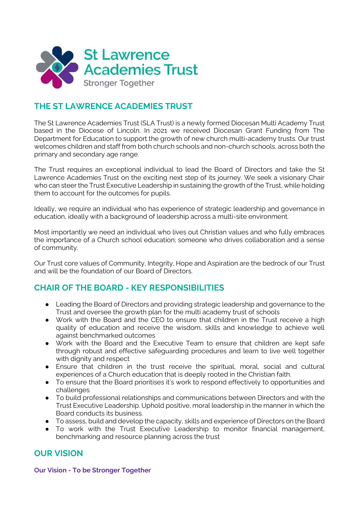

# **THE ST LAWRENCE ACADEMIES TRUST**

The St Lawrence Academies Trust (SLA Trust) is a newly formed Diocesan Multi Academy Trust based in the Diocese of Lincoln. In 2021 we received Diocesan Grant Funding from The Department for Education to support the growth of new church multi-academy trusts. Our trust welcomes children and staff from both church schools and non-church schools, across both the primary and secondary age range.

The Trust requires an exceptional individual to lead the Board of Directors and take the St Lawrence Academies Trust on the exciting next step of its journey. We seek a visionary Chair who can steer the Trust Executive Leadership in sustaining the growth of the Trust, while holding them to account for the outcomes for pupils.

Ideally, we require an individual who has experience of strategic leadership and governance in education, ideally with a background of leadership across a multi-site environment.

Most importantly we need an individual who lives out Christian values and who fully embraces the importance of a Church school education; someone who drives collaboration and a sense of community.

Our Trust core values of Community, Integrity, Hope and Aspiration are the bedrock of our Trust and will be the foundation of our Board of Directors.

# **CHAIR OF THE BOARD - KEY RESPONSIBILITIES**

- Leading the Board of Directors and providing strategic leadership and governance to the Trust and oversee the growth plan for the multi academy trust of schools
- Work with the Board and the CEO to ensure that children in the Trust receive a high quality of education and receive the wisdom, skills and knowledge to achieve well against benchmarked outcomes
- Work with the Board and the Executive Team to ensure that children are kept safe through robust and effective safeguarding procedures and learn to live well together with dignity and respect
- Ensure that children in the trust receive the spiritual, moral, social and cultural experiences of a Church education that is deeply rooted in the Christian faith.
- To ensure that the Board prioritises it's work to respond effectively to opportunities and challenges
- To build professional relationships and communications between Directors and with the Trust Executive Leadership. Uphold positive, moral leadership in the manner in which the Board conducts its business.
- To assess, build and develop the capacity, skills and experience of Directors on the Board
- To work with the Trust Executive Leadership to monitor financial management, benchmarking and resource planning across the trust

# **OUR VISION**

**Our Vision - To be Stronger Together**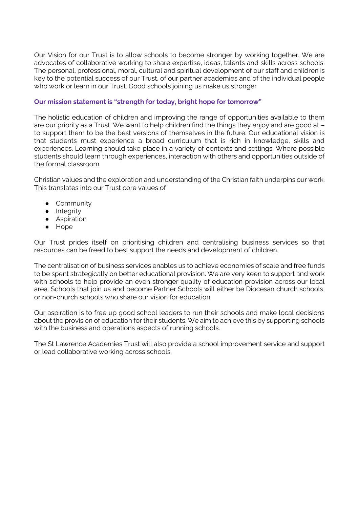Our Vision for our Trust is to allow schools to become stronger by working together. We are advocates of collaborative working to share expertise, ideas, talents and skills across schools. The personal, professional, moral, cultural and spiritual development of our staff and children is key to the potential success of our Trust, of our partner academies and of the individual people who work or learn in our Trust. Good schools joining us make us stronger

### **Our mission statement is "strength for today, bright hope for tomorrow"**

The holistic education of children and improving the range of opportunities available to them are our priority as a Trust. We want to help children find the things they enjoy and are good at – to support them to be the best versions of themselves in the future. Our educational vision is that students must experience a broad curriculum that is rich in knowledge, skills and experiences. Learning should take place in a variety of contexts and settings. Where possible students should learn through experiences, interaction with others and opportunities outside of the formal classroom.

Christian values and the exploration and understanding of the Christian faith underpins our work. This translates into our Trust core values of

- Community
- Integrity
- **•** Aspiration
- Hope

Our Trust prides itself on prioritising children and centralising business services so that resources can be freed to best support the needs and development of children.

The centralisation of business services enables us to achieve economies of scale and free funds to be spent strategically on better educational provision. We are very keen to support and work with schools to help provide an even stronger quality of education provision across our local area. Schools that join us and become Partner Schools will either be Diocesan church schools, or non-church schools who share our vision for education.

Our aspiration is to free up good school leaders to run their schools and make local decisions about the provision of education for their students. We aim to achieve this by supporting schools with the business and operations aspects of running schools.

The St Lawrence Academies Trust will also provide a school improvement service and support or lead collaborative working across schools.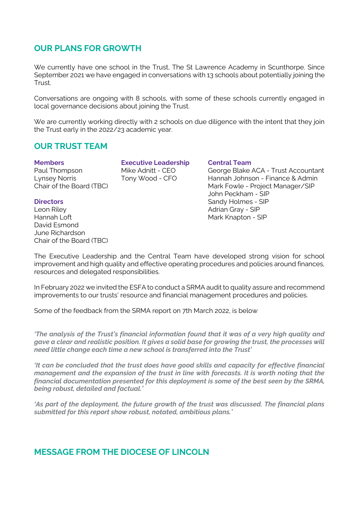# **OUR PLANS FOR GROWTH**

We currently have one school in the Trust, The St Lawrence Academy in Scunthorpe. Since September 2021 we have engaged in conversations with 13 schools about potentially joining the Trust.

Conversations are ongoing with 8 schools, with some of these schools currently engaged in local governance decisions about joining the Trust.

We are currently working directly with 2 schools on due diligence with the intent that they join the Trust early in the 2022/23 academic year.

# **OUR TRUST TEAM**

**Members Executive Leadership Central Team**

Leon Riley Adrian Gray - SIP David Esmond June Richardson Chair of the Board (TBC)

Paul Thompson Mike Adnitt - CEO George Blake ACA - Trust Accountant Lynsey Norris Tony Wood - CFO Hannah Johnson - Finance & Admin Mark Fowle - Project Manager/SIP John Peckham - SIP **Directors** Sandy Holmes - SIP Mark Knapton - SIP

The Executive Leadership and the Central Team have developed strong vision for school improvement and high quality and effective operating procedures and policies around finances, resources and delegated responsibilities.

In February 2022 we invited the ESFA to conduct a SRMA audit to quality assure and recommend improvements to our trusts' resource and financial management procedures and policies.

Some of the feedback from the SRMA report on 7th March 2022, is below

*'The analysis of the Trust's financial information found that it was of a very high quality and gave a clear and realistic position. It gives a solid base for growing the trust, the processes will need little change each time a new school is transferred into the Trust'*

*'It can be concluded that the trust does have good skills and capacity for effective financial management and the expansion of the trust in line with forecasts. It is worth noting that the financial documentation presented for this deployment is some of the best seen by the SRMA, being robust, detailed and factual.'*

*'As part of the deployment, the future growth of the trust was discussed. The financial plans submitted for this report show robust, notated, ambitious plans.'*

# **MESSAGE FROM THE DIOCESE OF LINCOLN**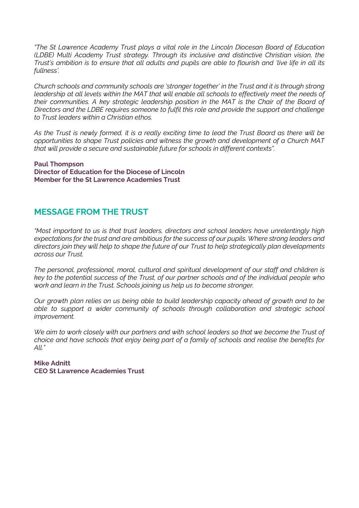*"The St Lawrence Academy Trust plays a vital role in the Lincoln Diocesan Board of Education (LDBE) Multi Academy Trust strategy. Through its inclusive and distinctive Christian vision, the Trust's ambition is to ensure that all adults and pupils are able to flourish and 'live life in all its fullness'.* 

*Church schools and community schools are 'stronger together' in the Trust and it is through strong leadership at all levels within the MAT that will enable all schools to effectively meet the needs of their communities. A key strategic leadership position in the MAT is the Chair of the Board of Directors and the LDBE requires someone to fulfil this role and provide the support and challenge to Trust leaders within a Christian ethos.* 

*As the Trust is newly formed, it is a really exciting time to lead the Trust Board as there will be opportunities to shape Trust policies and witness the growth and development of a Church MAT that will provide a secure and sustainable future for schools in different contexts".*

**Paul Thompson Director of Education for the Diocese of Lincoln Member for the St Lawrence Academies Trust**

# **MESSAGE FROM THE TRUST**

*"Most important to us is that trust leaders, directors and school leaders have unrelentingly high expectations for the trust and are ambitious for the success of our pupils. Where strong leaders and directors join they will help to shape the future of our Trust to help strategically plan developments across our Trust.* 

*The personal, professional, moral, cultural and spiritual development of our staff and children is key to the potential success of the Trust, of our partner schools and of the individual people who work and learn in the Trust. Schools joining us help us to become stronger.*

*Our growth plan relies on us being able to build leadership capacity ahead of growth and to be able to support a wider community of schools through collaboration and strategic school improvement.*

*We aim to work closely with our partners and with school leaders so that we become the Trust of choice and have schools that enjoy being part of a family of schools and realise the benefits for All."*

### **Mike Adnitt CEO St Lawrence Academies Trust**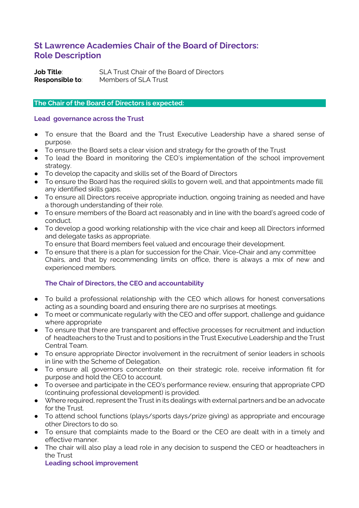# **St Lawrence Academies Chair of the Board of Directors: Role Description**

**Job Title**: SLA Trust Chair of the Board of Directors **Responsible to**: Members of SLA Trust

### **The Chair of the Board of Directors is expected:**

#### **Lead governance across the Trust**

- To ensure that the Board and the Trust Executive Leadership have a shared sense of purpose.
- To ensure the Board sets a clear vision and strategy for the growth of the Trust
- To lead the Board in monitoring the CEO's implementation of the school improvement strategy.
- To develop the capacity and skills set of the Board of Directors
- To ensure the Board has the required skills to govern well, and that appointments made fill any identified skills gaps.
- To ensure all Directors receive appropriate induction, ongoing training as needed and have a thorough understanding of their role.
- To ensure members of the Board act reasonably and in line with the board's agreed code of conduct.
- To develop a good working relationship with the vice chair and keep all Directors informed and delegate tasks as appropriate.
- To ensure that Board members feel valued and encourage their development.
- To ensure that there is a plan for succession for the Chair, Vice-Chair and any committee Chairs, and that by recommending limits on office, there is always a mix of new and experienced members.

## **The Chair of Directors, the CEO and accountability**

- To build a professional relationship with the CEO which allows for honest conversations acting as a sounding board and ensuring there are no surprises at meetings.
- To meet or communicate regularly with the CEO and offer support, challenge and guidance where appropriate
- To ensure that there are transparent and effective processes for recruitment and induction of headteachers to the Trust and to positions in the Trust Executive Leadership and the Trust Central Team.
- To ensure appropriate Director involvement in the recruitment of senior leaders in schools in line with the Scheme of Delegation.
- To ensure all governors concentrate on their strategic role, receive information fit for purpose and hold the CEO to account.
- To oversee and participate in the CEO's performance review, ensuring that appropriate CPD (continuing professional development) is provided.
- Where required, represent the Trust in its dealings with external partners and be an advocate for the Trust.
- To attend school functions (plays/sports days/prize giving) as appropriate and encourage other Directors to do so.
- To ensure that complaints made to the Board or the CEO are dealt with in a timely and effective manner.
- The chair will also play a lead role in any decision to suspend the CEO or headteachers in the Trust

**Leading school improvement**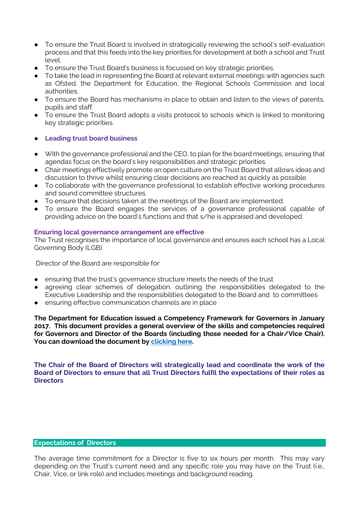- To ensure the Trust Board is involved in strategically reviewing the school's self-evaluation process and that this feeds into the key priorities for development at both a school and Trust level.
- To ensure the Trust Board's business is focussed on key strategic priorities.
- To take the lead in representing the Board at relevant external meetings with agencies such as Ofsted, the Department for Education, the Regional Schools Commission and local authorities.
- To ensure the Board has mechanisms in place to obtain and listen to the views of parents, pupils and staff.
- To ensure the Trust Board adopts a visits protocol to schools which is linked to monitoring key strategic priorities.

#### ● **Leading trust board business**

- With the governance professional and the CEO, to plan for the board meetings, ensuring that agendas focus on the board's key responsibilities and strategic priorities.
- Chair meetings effectively promote an open culture on the Trust Board that allows ideas and discussion to thrive whilst ensuring clear decisions are reached as quickly as possible.
- To collaborate with the governance professional to establish effective working procedures and sound committee structures.
- To ensure that decisions taken at the meetings of the Board are implemented.
- To ensure the Board engages the services of a governance professional capable of providing advice on the board's functions and that s/he is appraised and developed.

#### **Ensuring local governance arrangement are effective**

The Trust recognises the importance of local governance and ensures each school has a Local Governing Body (LGB).

Director of the Board are responsible for:

- ensuring that the trust's governance structure meets the needs of the trust
- agreeing clear schemes of delegation, outlining the responsibilities delegated to the Executive Leadership and the responsibilities delegated to the Board and to committees
- ensuring effective communication channels are in place

**The Department for Education issued a Competency Framework for Governors in January 2017. This document provides a general overview of the skills and competencies required for Governors and Director of the Boards (including those needed for a Chair/Vice Chair).**  You can download the document by **clicking** here.

**The Chair of the Board of Directors will strategically lead and coordinate the work of the Board of Directors to ensure that all Trust Directors fulfil the expectations of their roles as Directors** 

#### **Expectations of Directors**

The average time commitment for a Director is five to six hours per month. This may vary depending on the Trust's current need and any specific role you may have on the Trust (i.e., Chair, Vice, or link role) and includes meetings and background reading.